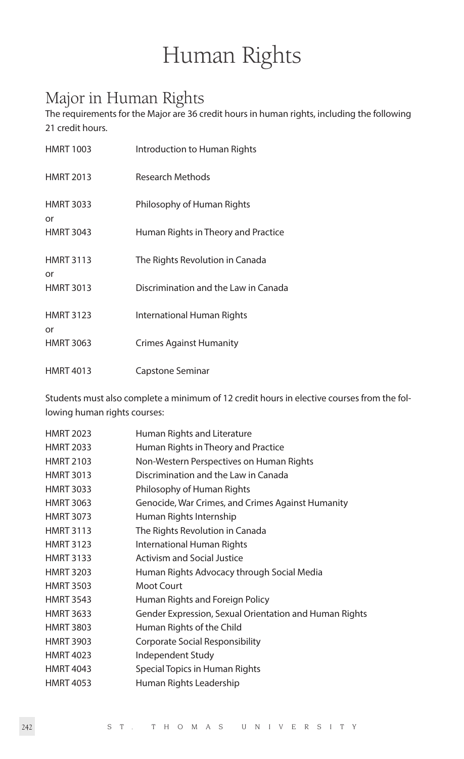# Human Rights

# Major in Human Rights

The requirements for the Major are 36 credit hours in human rights, including the following 21 credit hours.

| <b>HMRT 1003</b>       | Introduction to Human Rights         |
|------------------------|--------------------------------------|
| <b>HMRT 2013</b>       | <b>Research Methods</b>              |
| <b>HMRT 3033</b><br>or | Philosophy of Human Rights           |
| <b>HMRT 3043</b>       | Human Rights in Theory and Practice  |
| <b>HMRT 3113</b><br>or | The Rights Revolution in Canada      |
| <b>HMRT 3013</b>       | Discrimination and the Law in Canada |
| <b>HMRT 3123</b><br>or | International Human Rights           |
| <b>HMRT 3063</b>       | <b>Crimes Against Humanity</b>       |
| <b>HMRT 4013</b>       | Capstone Seminar                     |

Students must also complete a minimum of 12 credit hours in elective courses from the following human rights courses:

| <b>HMRT 2023</b> | Human Rights and Literature                            |
|------------------|--------------------------------------------------------|
| <b>HMRT 2033</b> | Human Rights in Theory and Practice                    |
| <b>HMRT 2103</b> | Non-Western Perspectives on Human Rights               |
| <b>HMRT 3013</b> | Discrimination and the Law in Canada                   |
| <b>HMRT 3033</b> | Philosophy of Human Rights                             |
| <b>HMRT 3063</b> | Genocide, War Crimes, and Crimes Against Humanity      |
| <b>HMRT 3073</b> | Human Rights Internship                                |
| <b>HMRT 3113</b> | The Rights Revolution in Canada                        |
| <b>HMRT 3123</b> | International Human Rights                             |
| <b>HMRT 3133</b> | <b>Activism and Social Justice</b>                     |
| <b>HMRT 3203</b> | Human Rights Advocacy through Social Media             |
| <b>HMRT 3503</b> | Moot Court                                             |
| <b>HMRT 3543</b> | Human Rights and Foreign Policy                        |
| <b>HMRT 3633</b> | Gender Expression, Sexual Orientation and Human Rights |
| <b>HMRT 3803</b> | Human Rights of the Child                              |
| <b>HMRT 3903</b> | Corporate Social Responsibility                        |
| <b>HMRT 4023</b> | Independent Study                                      |
| <b>HMRT 4043</b> | Special Topics in Human Rights                         |
| <b>HMRT 4053</b> | Human Rights Leadership                                |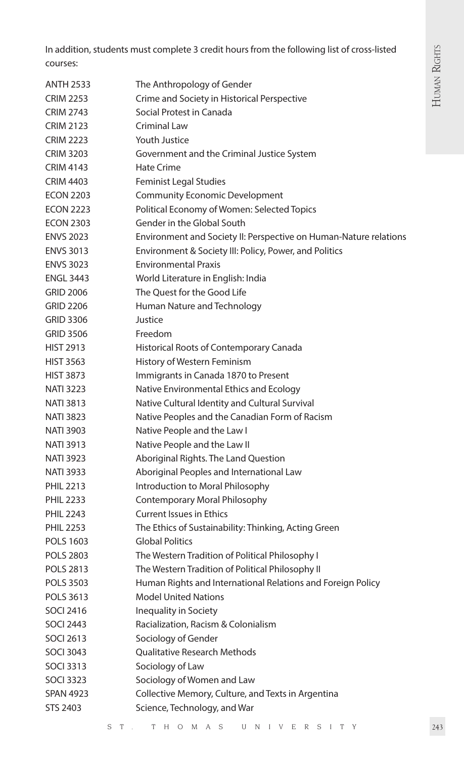In addition, students must complete 3 credit hours from the following list of cross-listed courses:

| <b>ANTH 2533</b> | The Anthropology of Gender                                        |
|------------------|-------------------------------------------------------------------|
| <b>CRIM 2253</b> | Crime and Society in Historical Perspective                       |
| <b>CRIM 2743</b> | Social Protest in Canada                                          |
| <b>CRIM 2123</b> | Criminal Law                                                      |
| <b>CRIM 2223</b> | Youth Justice                                                     |
| <b>CRIM 3203</b> | Government and the Criminal Justice System                        |
| <b>CRIM 4143</b> | <b>Hate Crime</b>                                                 |
| <b>CRIM 4403</b> | <b>Feminist Legal Studies</b>                                     |
| <b>ECON 2203</b> | <b>Community Economic Development</b>                             |
| <b>ECON 2223</b> | Political Economy of Women: Selected Topics                       |
| <b>ECON 2303</b> | Gender in the Global South                                        |
| <b>ENVS 2023</b> | Environment and Society II: Perspective on Human-Nature relations |
| <b>ENVS 3013</b> | Environment & Society III: Policy, Power, and Politics            |
| <b>ENVS 3023</b> | <b>Environmental Praxis</b>                                       |
| <b>ENGL 3443</b> | World Literature in English: India                                |
| <b>GRID 2006</b> | The Quest for the Good Life                                       |
| <b>GRID 2206</b> | Human Nature and Technology                                       |
| <b>GRID 3306</b> | Justice                                                           |
| <b>GRID 3506</b> | Freedom                                                           |
| <b>HIST 2913</b> | Historical Roots of Contemporary Canada                           |
| <b>HIST 3563</b> | History of Western Feminism                                       |
| <b>HIST 3873</b> | Immigrants in Canada 1870 to Present                              |
| <b>NATI 3223</b> | Native Environmental Ethics and Ecology                           |
| <b>NATI 3813</b> | Native Cultural Identity and Cultural Survival                    |
| <b>NATI 3823</b> | Native Peoples and the Canadian Form of Racism                    |
| <b>NATI 3903</b> | Native People and the Law I                                       |
| <b>NATI 3913</b> | Native People and the Law II                                      |
| NATI 3923        | Aboriginal Rights. The Land Question                              |
| <b>NATI 3933</b> | Aboriginal Peoples and International Law                          |
| <b>PHIL 2213</b> | Introduction to Moral Philosophy                                  |
| <b>PHIL 2233</b> | Contemporary Moral Philosophy                                     |
| <b>PHIL 2243</b> | <b>Current Issues in Ethics</b>                                   |
| <b>PHIL 2253</b> | The Ethics of Sustainability: Thinking, Acting Green              |
| <b>POLS 1603</b> | <b>Global Politics</b>                                            |
| <b>POLS 2803</b> | The Western Tradition of Political Philosophy I                   |
| <b>POLS 2813</b> | The Western Tradition of Political Philosophy II                  |
| <b>POLS 3503</b> | Human Rights and International Relations and Foreign Policy       |
| POLS 3613        | <b>Model United Nations</b>                                       |
| <b>SOCI 2416</b> | Inequality in Society                                             |
| <b>SOCI 2443</b> | Racialization, Racism & Colonialism                               |
| <b>SOCI 2613</b> | Sociology of Gender                                               |
| <b>SOCI 3043</b> | Qualitative Research Methods                                      |
| <b>SOCI 3313</b> | Sociology of Law                                                  |
| SOCI 3323        | Sociology of Women and Law                                        |
| <b>SPAN 4923</b> | Collective Memory, Culture, and Texts in Argentina                |
| <b>STS 2403</b>  | Science, Technology, and War                                      |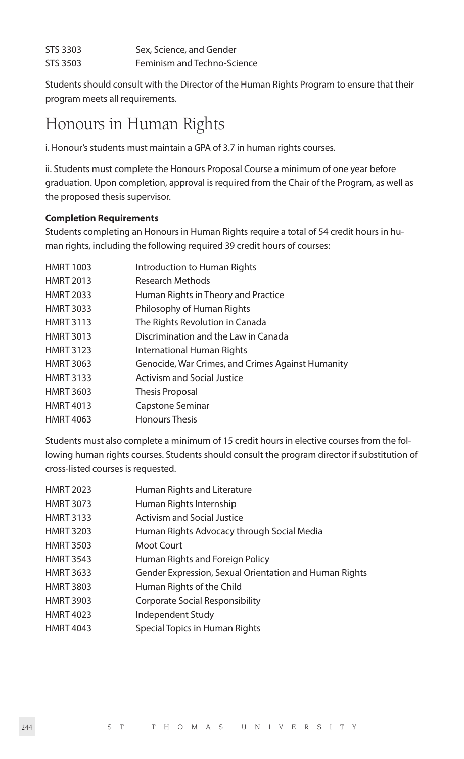| STS 3303 | Sex, Science, and Gender    |
|----------|-----------------------------|
| STS 3503 | Feminism and Techno-Science |

Students should consult with the Director of the Human Rights Program to ensure that their program meets all requirements.

# Honours in Human Rights

i. Honour's students must maintain a GPA of 3.7 in human rights courses.

ii. Students must complete the Honours Proposal Course a minimum of one year before graduation. Upon completion, approval is required from the Chair of the Program, as well as the proposed thesis supervisor.

# **Completion Requirements**

Students completing an Honours in Human Rights require a total of 54 credit hours in human rights, including the following required 39 credit hours of courses:

| <b>HMRT 1003</b> | Introduction to Human Rights                      |
|------------------|---------------------------------------------------|
| <b>HMRT 2013</b> | Research Methods                                  |
| <b>HMRT 2033</b> | Human Rights in Theory and Practice               |
| <b>HMRT 3033</b> | Philosophy of Human Rights                        |
| <b>HMRT 3113</b> | The Rights Revolution in Canada                   |
| <b>HMRT 3013</b> | Discrimination and the Law in Canada              |
| <b>HMRT 3123</b> | International Human Rights                        |
| <b>HMRT 3063</b> | Genocide, War Crimes, and Crimes Against Humanity |
| <b>HMRT 3133</b> | <b>Activism and Social Justice</b>                |
| <b>HMRT 3603</b> | Thesis Proposal                                   |
| <b>HMRT 4013</b> | Capstone Seminar                                  |
| <b>HMRT 4063</b> | <b>Honours Thesis</b>                             |
|                  |                                                   |

Students must also complete a minimum of 15 credit hours in elective courses from the following human rights courses. Students should consult the program director if substitution of cross-listed courses is requested.

| <b>HMRT 2023</b> | Human Rights and Literature                            |
|------------------|--------------------------------------------------------|
| <b>HMRT 3073</b> | Human Rights Internship                                |
| <b>HMRT 3133</b> | <b>Activism and Social Justice</b>                     |
| <b>HMRT 3203</b> | Human Rights Advocacy through Social Media             |
| <b>HMRT 3503</b> | Moot Court                                             |
| <b>HMRT 3543</b> | Human Rights and Foreign Policy                        |
| <b>HMRT 3633</b> | Gender Expression, Sexual Orientation and Human Rights |
| <b>HMRT 3803</b> | Human Rights of the Child                              |
| <b>HMRT 3903</b> | <b>Corporate Social Responsibility</b>                 |
| <b>HMRT 4023</b> | <b>Independent Study</b>                               |
| <b>HMRT 4043</b> | Special Topics in Human Rights                         |
|                  |                                                        |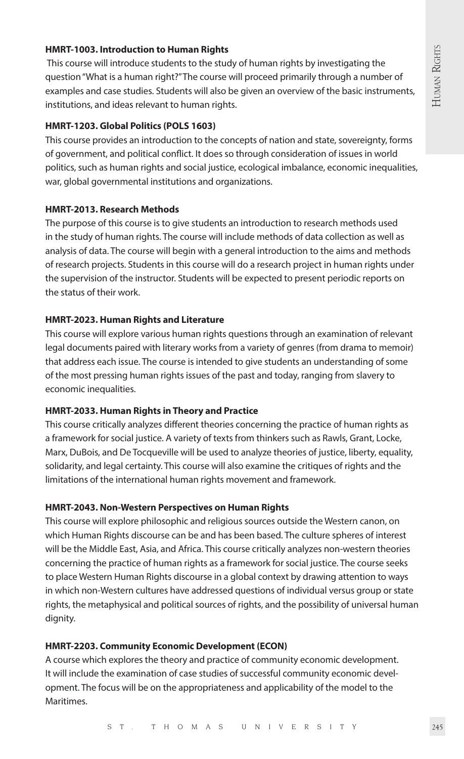#### **HMRT-1003. Introduction to Human Rights**

 This course will introduce students to the study of human rights by investigating the question "What is a human right?" The course will proceed primarily through a number of examples and case studies. Students will also be given an overview of the basic instruments, institutions, and ideas relevant to human rights.

#### **HMRT-1203. Global Politics (POLS 1603)**

This course provides an introduction to the concepts of nation and state, sovereignty, forms of government, and political conflict. It does so through consideration of issues in world politics, such as human rights and social justice, ecological imbalance, economic inequalities, war, global governmental institutions and organizations.

### **HMRT-2013. Research Methods**

The purpose of this course is to give students an introduction to research methods used in the study of human rights. The course will include methods of data collection as well as analysis of data. The course will begin with a general introduction to the aims and methods of research projects. Students in this course will do a research project in human rights under the supervision of the instructor. Students will be expected to present periodic reports on the status of their work.

#### **HMRT-2023. Human Rights and Literature**

This course will explore various human rights questions through an examination of relevant legal documents paired with literary works from a variety of genres (from drama to memoir) that address each issue. The course is intended to give students an understanding of some of the most pressing human rights issues of the past and today, ranging from slavery to economic inequalities.

#### **HMRT-2033. Human Rights in Theory and Practice**

This course critically analyzes different theories concerning the practice of human rights as a framework for social justice. A variety of texts from thinkers such as Rawls, Grant, Locke, Marx, DuBois, and De Tocqueville will be used to analyze theories of justice, liberty, equality, solidarity, and legal certainty. This course will also examine the critiques of rights and the limitations of the international human rights movement and framework.

#### **HMRT-2043. Non-Western Perspectives on Human Rights**

This course will explore philosophic and religious sources outside the Western canon, on which Human Rights discourse can be and has been based. The culture spheres of interest will be the Middle East, Asia, and Africa. This course critically analyzes non-western theories concerning the practice of human rights as a framework for social justice. The course seeks to place Western Human Rights discourse in a global context by drawing attention to ways in which non-Western cultures have addressed questions of individual versus group or state rights, the metaphysical and political sources of rights, and the possibility of universal human dignity.

#### **HMRT-2203. Community Economic Development (ECON)**

A course which explores the theory and practice of community economic development. It will include the examination of case studies of successful community economic development. The focus will be on the appropriateness and applicability of the model to the Maritimes.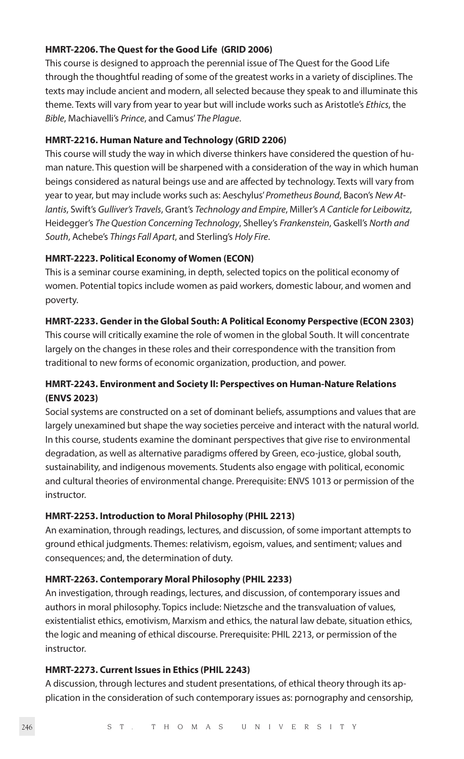### **HMRT-2206. The Quest for the Good Life (GRID 2006)**

This course is designed to approach the perennial issue of The Quest for the Good Life through the thoughtful reading of some of the greatest works in a variety of disciplines. The texts may include ancient and modern, all selected because they speak to and illuminate this theme. Texts will vary from year to year but will include works such as Aristotle's *Ethics*, the *Bible*, Machiavelli's *Prince*, and Camus' *The Plague*.

#### **HMRT-2216. Human Nature and Technology (GRID 2206)**

This course will study the way in which diverse thinkers have considered the question of human nature. This question will be sharpened with a consideration of the way in which human beings considered as natural beings use and are affected by technology. Texts will vary from year to year, but may include works such as: Aeschylus' *Prometheus Bound*, Bacon's *New Atlantis*, Swift's *Gulliver's Travels*, Grant's *Technology and Empire*, Miller's *A Canticle for Leibowitz*, Heidegger's *The Question Concerning Technology*, Shelley's *Frankenstein*, Gaskell's *North and South*, Achebe's *Things Fall Apart*, and Sterling's *Holy Fire*.

#### **HMRT-2223. Political Economy of Women (ECON)**

This is a seminar course examining, in depth, selected topics on the political economy of women. Potential topics include women as paid workers, domestic labour, and women and poverty.

#### **HMRT-2233. Gender in the Global South: A Political Economy Perspective (ECON 2303)**

This course will critically examine the role of women in the global South. It will concentrate largely on the changes in these roles and their correspondence with the transition from traditional to new forms of economic organization, production, and power.

# **HMRT-2243. Environment and Society II: Perspectives on Human-Nature Relations (ENVS 2023)**

Social systems are constructed on a set of dominant beliefs, assumptions and values that are largely unexamined but shape the way societies perceive and interact with the natural world. In this course, students examine the dominant perspectives that give rise to environmental degradation, as well as alternative paradigms offered by Green, eco-justice, global south, sustainability, and indigenous movements. Students also engage with political, economic and cultural theories of environmental change. Prerequisite: ENVS 1013 or permission of the instructor.

#### **HMRT-2253. Introduction to Moral Philosophy (PHIL 2213)**

An examination, through readings, lectures, and discussion, of some important attempts to ground ethical judgments. Themes: relativism, egoism, values, and sentiment; values and consequences; and, the determination of duty.

# **HMRT-2263. Contemporary Moral Philosophy (PHIL 2233)**

An investigation, through readings, lectures, and discussion, of contemporary issues and authors in moral philosophy. Topics include: Nietzsche and the transvaluation of values, existentialist ethics, emotivism, Marxism and ethics, the natural law debate, situation ethics, the logic and meaning of ethical discourse. Prerequisite: PHIL 2213, or permission of the instructor.

#### **HMRT-2273. Current Issues in Ethics (PHIL 2243)**

A discussion, through lectures and student presentations, of ethical theory through its application in the consideration of such contemporary issues as: pornography and censorship,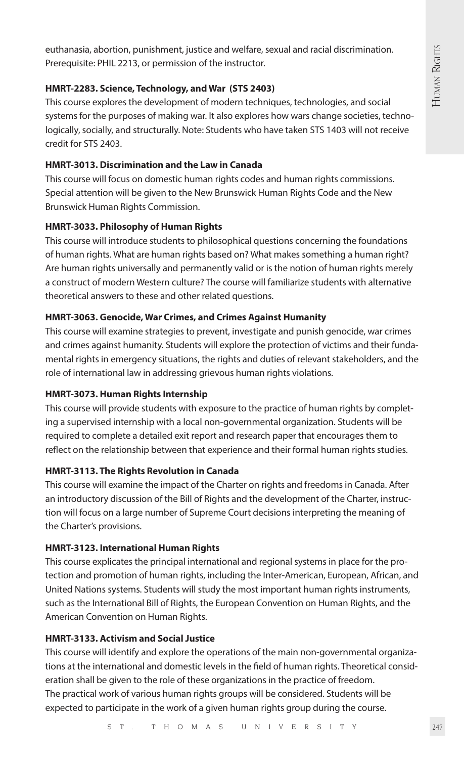euthanasia, abortion, punishment, justice and welfare, sexual and racial discrimination. Prerequisite: PHIL 2213, or permission of the instructor.

#### **HMRT-2283. Science, Technology, and War (STS 2403)**

This course explores the development of modern techniques, technologies, and social systems for the purposes of making war. It also explores how wars change societies, technologically, socially, and structurally. Note: Students who have taken STS 1403 will not receive credit for STS 2403.

# **HMRT-3013. Discrimination and the Law in Canada**

This course will focus on domestic human rights codes and human rights commissions. Special attention will be given to the New Brunswick Human Rights Code and the New Brunswick Human Rights Commission.

# **HMRT-3033. Philosophy of Human Rights**

This course will introduce students to philosophical questions concerning the foundations of human rights. What are human rights based on? What makes something a human right? Are human rights universally and permanently valid or is the notion of human rights merely a construct of modern Western culture? The course will familiarize students with alternative theoretical answers to these and other related questions.

# **HMRT-3063. Genocide, War Crimes, and Crimes Against Humanity**

This course will examine strategies to prevent, investigate and punish genocide, war crimes and crimes against humanity. Students will explore the protection of victims and their fundamental rights in emergency situations, the rights and duties of relevant stakeholders, and the role of international law in addressing grievous human rights violations.

#### **HMRT-3073. Human Rights Internship**

This course will provide students with exposure to the practice of human rights by completing a supervised internship with a local non-governmental organization. Students will be required to complete a detailed exit report and research paper that encourages them to reflect on the relationship between that experience and their formal human rights studies.

#### **HMRT-3113. The Rights Revolution in Canada**

This course will examine the impact of the Charter on rights and freedoms in Canada. After an introductory discussion of the Bill of Rights and the development of the Charter, instruction will focus on a large number of Supreme Court decisions interpreting the meaning of the Charter's provisions.

#### **HMRT-3123. International Human Rights**

This course explicates the principal international and regional systems in place for the protection and promotion of human rights, including the Inter-American, European, African, and United Nations systems. Students will study the most important human rights instruments, such as the International Bill of Rights, the European Convention on Human Rights, and the American Convention on Human Rights.

# **HMRT-3133. Activism and Social Justice**

This course will identify and explore the operations of the main non-governmental organizations at the international and domestic levels in the field of human rights. Theoretical consideration shall be given to the role of these organizations in the practice of freedom. The practical work of various human rights groups will be considered. Students will be expected to participate in the work of a given human rights group during the course.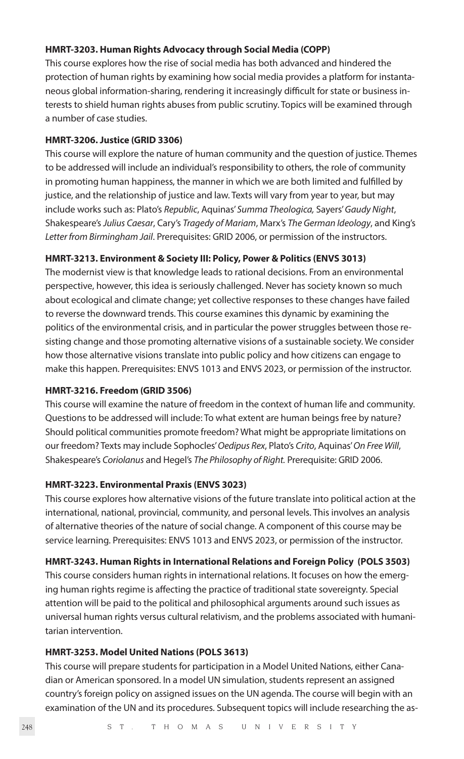#### **HMRT-3203. Human Rights Advocacy through Social Media (COPP)**

This course explores how the rise of social media has both advanced and hindered the protection of human rights by examining how social media provides a platform for instantaneous global information-sharing, rendering it increasingly difficult for state or business interests to shield human rights abuses from public scrutiny. Topics will be examined through a number of case studies.

#### **HMRT-3206. Justice (GRID 3306)**

This course will explore the nature of human community and the question of justice. Themes to be addressed will include an individual's responsibility to others, the role of community in promoting human happiness, the manner in which we are both limited and fulfilled by justice, and the relationship of justice and law. Texts will vary from year to year, but may include works such as: Plato's *Republic*, Aquinas' *Summa Theologica,* Sayers' *Gaudy Night*, Shakespeare's *Julius Caesar*, Cary's *Tragedy of Mariam*, Marx's *The German Ideology*, and King's *Letter from Birmingham Jail*. Prerequisites: GRID 2006, or permission of the instructors.

#### **HMRT-3213. Environment & Society III: Policy, Power & Politics (ENVS 3013)**

The modernist view is that knowledge leads to rational decisions. From an environmental perspective, however, this idea is seriously challenged. Never has society known so much about ecological and climate change; yet collective responses to these changes have failed to reverse the downward trends. This course examines this dynamic by examining the politics of the environmental crisis, and in particular the power struggles between those resisting change and those promoting alternative visions of a sustainable society. We consider how those alternative visions translate into public policy and how citizens can engage to make this happen. Prerequisites: ENVS 1013 and ENVS 2023, or permission of the instructor.

#### **HMRT-3216. Freedom (GRID 3506)**

This course will examine the nature of freedom in the context of human life and community. Questions to be addressed will include: To what extent are human beings free by nature? Should political communities promote freedom? What might be appropriate limitations on our freedom? Texts may include Sophocles' *Oedipus Rex*, Plato's *Crito*, Aquinas' *On Free Will*, Shakespeare's *Coriolanus* and Hegel's *The Philosophy of Right.* Prerequisite: GRID 2006.

#### **HMRT-3223. Environmental Praxis (ENVS 3023)**

This course explores how alternative visions of the future translate into political action at the international, national, provincial, community, and personal levels. This involves an analysis of alternative theories of the nature of social change. A component of this course may be service learning. Prerequisites: ENVS 1013 and ENVS 2023, or permission of the instructor.

#### **HMRT-3243. Human Rights in International Relations and Foreign Policy (POLS 3503)**

This course considers human rights in international relations. It focuses on how the emerging human rights regime is affecting the practice of traditional state sovereignty. Special attention will be paid to the political and philosophical arguments around such issues as universal human rights versus cultural relativism, and the problems associated with humanitarian intervention.

#### **HMRT-3253. Model United Nations (POLS 3613)**

This course will prepare students for participation in a Model United Nations, either Canadian or American sponsored. In a model UN simulation, students represent an assigned country's foreign policy on assigned issues on the UN agenda. The course will begin with an examination of the UN and its procedures. Subsequent topics will include researching the as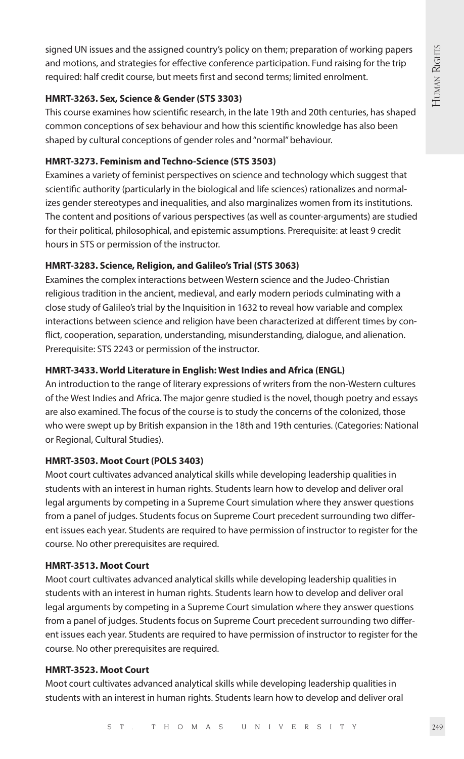signed UN issues and the assigned country's policy on them; preparation of working papers and motions, and strategies for effective conference participation. Fund raising for the trip required: half credit course, but meets first and second terms; limited enrolment.

## **HMRT-3263. Sex, Science & Gender (STS 3303)**

This course examines how scientific research, in the late 19th and 20th centuries, has shaped common conceptions of sex behaviour and how this scientific knowledge has also been shaped by cultural conceptions of gender roles and "normal" behaviour.

# **HMRT-3273. Feminism and Techno-Science (STS 3503)**

Examines a variety of feminist perspectives on science and technology which suggest that scientific authority (particularly in the biological and life sciences) rationalizes and normalizes gender stereotypes and inequalities, and also marginalizes women from its institutions. The content and positions of various perspectives (as well as counter-arguments) are studied for their political, philosophical, and epistemic assumptions. Prerequisite: at least 9 credit hours in STS or permission of the instructor.

# **HMRT-3283. Science, Religion, and Galileo's Trial (STS 3063)**

Examines the complex interactions between Western science and the Judeo-Christian religious tradition in the ancient, medieval, and early modern periods culminating with a close study of Galileo's trial by the Inquisition in 1632 to reveal how variable and complex interactions between science and religion have been characterized at different times by conflict, cooperation, separation, understanding, misunderstanding, dialogue, and alienation. Prerequisite: STS 2243 or permission of the instructor.

# **HMRT-3433. World Literature in English: West Indies and Africa (ENGL)**

An introduction to the range of literary expressions of writers from the non-Western cultures of the West Indies and Africa. The major genre studied is the novel, though poetry and essays are also examined. The focus of the course is to study the concerns of the colonized, those who were swept up by British expansion in the 18th and 19th centuries. (Categories: National or Regional, Cultural Studies).

# **HMRT-3503. Moot Court (POLS 3403)**

Moot court cultivates advanced analytical skills while developing leadership qualities in students with an interest in human rights. Students learn how to develop and deliver oral legal arguments by competing in a Supreme Court simulation where they answer questions from a panel of judges. Students focus on Supreme Court precedent surrounding two different issues each year. Students are required to have permission of instructor to register for the course. No other prerequisites are required.

# **HMRT-3513. Moot Court**

Moot court cultivates advanced analytical skills while developing leadership qualities in students with an interest in human rights. Students learn how to develop and deliver oral legal arguments by competing in a Supreme Court simulation where they answer questions from a panel of judges. Students focus on Supreme Court precedent surrounding two different issues each year. Students are required to have permission of instructor to register for the course. No other prerequisites are required.

# **HMRT-3523. Moot Court**

Moot court cultivates advanced analytical skills while developing leadership qualities in students with an interest in human rights. Students learn how to develop and deliver oral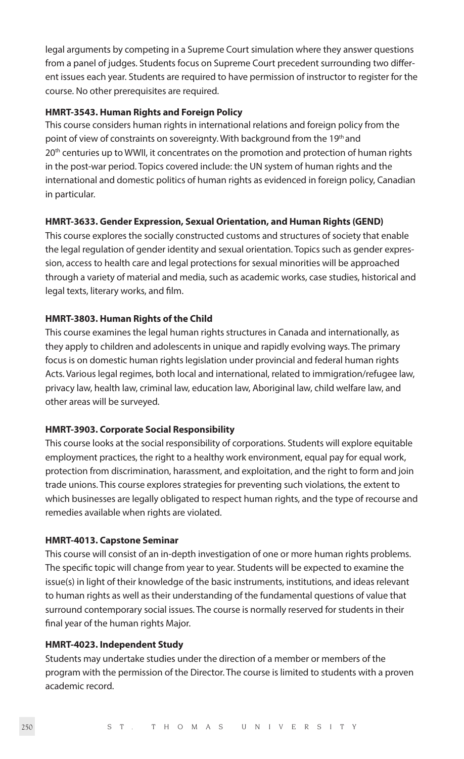legal arguments by competing in a Supreme Court simulation where they answer questions from a panel of judges. Students focus on Supreme Court precedent surrounding two different issues each year. Students are required to have permission of instructor to register for the course. No other prerequisites are required.

#### **HMRT-3543. Human Rights and Foreign Policy**

This course considers human rights in international relations and foreign policy from the point of view of constraints on sovereignty. With background from the 19<sup>th</sup> and 20<sup>th</sup> centuries up to WWII, it concentrates on the promotion and protection of human rights in the post-war period. Topics covered include: the UN system of human rights and the international and domestic politics of human rights as evidenced in foreign policy, Canadian in particular.

#### **HMRT-3633. Gender Expression, Sexual Orientation, and Human Rights (GEND)**

This course explores the socially constructed customs and structures of society that enable the legal regulation of gender identity and sexual orientation. Topics such as gender expression, access to health care and legal protections for sexual minorities will be approached through a variety of material and media, such as academic works, case studies, historical and legal texts, literary works, and film.

#### **HMRT-3803. Human Rights of the Child**

This course examines the legal human rights structures in Canada and internationally, as they apply to children and adolescents in unique and rapidly evolving ways. The primary focus is on domestic human rights legislation under provincial and federal human rights Acts. Various legal regimes, both local and international, related to immigration/refugee law, privacy law, health law, criminal law, education law, Aboriginal law, child welfare law, and other areas will be surveyed.

#### **HMRT-3903. Corporate Social Responsibility**

This course looks at the social responsibility of corporations. Students will explore equitable employment practices, the right to a healthy work environment, equal pay for equal work, protection from discrimination, harassment, and exploitation, and the right to form and join trade unions. This course explores strategies for preventing such violations, the extent to which businesses are legally obligated to respect human rights, and the type of recourse and remedies available when rights are violated.

#### **HMRT-4013. Capstone Seminar**

This course will consist of an in-depth investigation of one or more human rights problems. The specific topic will change from year to year. Students will be expected to examine the issue(s) in light of their knowledge of the basic instruments, institutions, and ideas relevant to human rights as well as their understanding of the fundamental questions of value that surround contemporary social issues. The course is normally reserved for students in their final year of the human rights Major.

#### **HMRT-4023. Independent Study**

Students may undertake studies under the direction of a member or members of the program with the permission of the Director. The course is limited to students with a proven academic record.